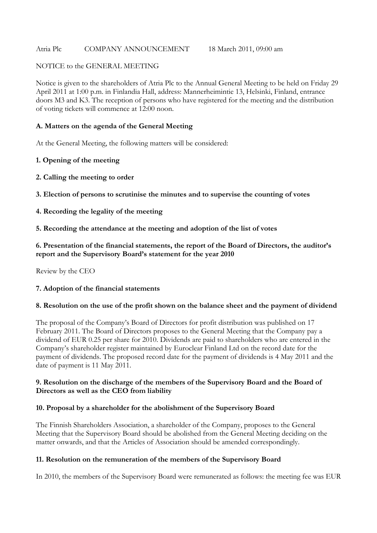#### Atria Plc COMPANY ANNOUNCEMENT 18 March 2011, 09:00 am

#### NOTICE to the GENERAL MEETING

Notice is given to the shareholders of Atria Plc to the Annual General Meeting to be held on Friday 29 April 2011 at 1:00 p.m. in Finlandia Hall, address: Mannerheimintie 13, Helsinki, Finland, entrance doors M3 and K3. The reception of persons who have registered for the meeting and the distribution of voting tickets will commence at 12:00 noon.

#### **A. Matters on the agenda of the General Meeting**

At the General Meeting, the following matters will be considered:

### **1. Opening of the meeting**

- **2. Calling the meeting to order**
- **3. Election of persons to scrutinise the minutes and to supervise the counting of votes**
- **4. Recording the legality of the meeting**
- **5. Recording the attendance at the meeting and adoption of the list of votes**

### **6. Presentation of the financial statements, the report of the Board of Directors, the auditor's report and the Supervisory Board's statement for the year 2010**

Review by the CEO

#### **7. Adoption of the financial statements**

#### **8. Resolution on the use of the profit shown on the balance sheet and the payment of dividend**

The proposal of the Company's Board of Directors for profit distribution was published on 17 February 2011. The Board of Directors proposes to the General Meeting that the Company pay a dividend of EUR 0.25 per share for 2010. Dividends are paid to shareholders who are entered in the Company's shareholder register maintained by Euroclear Finland Ltd on the record date for the payment of dividends. The proposed record date for the payment of dividends is 4 May 2011 and the date of payment is 11 May 2011.

#### **9. Resolution on the discharge of the members of the Supervisory Board and the Board of Directors as well as the CEO from liability**

#### **10. Proposal by a shareholder for the abolishment of the Supervisory Board**

The Finnish Shareholders Association, a shareholder of the Company, proposes to the General Meeting that the Supervisory Board should be abolished from the General Meeting deciding on the matter onwards, and that the Articles of Association should be amended correspondingly.

#### **11. Resolution on the remuneration of the members of the Supervisory Board**

In 2010, the members of the Supervisory Board were remunerated as follows: the meeting fee was EUR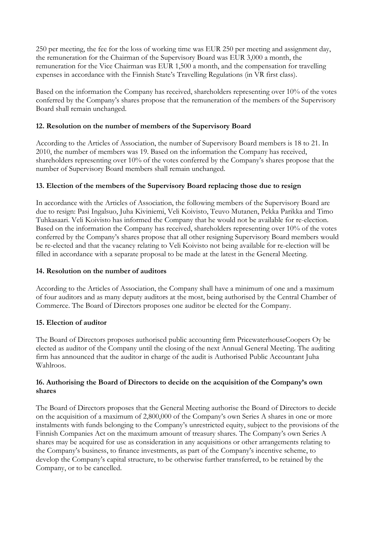250 per meeting, the fee for the loss of working time was EUR 250 per meeting and assignment day, the remuneration for the Chairman of the Supervisory Board was EUR 3,000 a month, the remuneration for the Vice Chairman was EUR 1,500 a month, and the compensation for travelling expenses in accordance with the Finnish State's Travelling Regulations (in VR first class).

Based on the information the Company has received, shareholders representing over 10% of the votes conferred by the Company's shares propose that the remuneration of the members of the Supervisory Board shall remain unchanged.

## **12. Resolution on the number of members of the Supervisory Board**

According to the Articles of Association, the number of Supervisory Board members is 18 to 21. In 2010, the number of members was 19. Based on the information the Company has received, shareholders representing over 10% of the votes conferred by the Company's shares propose that the number of Supervisory Board members shall remain unchanged.

# **13. Election of the members of the Supervisory Board replacing those due to resign**

In accordance with the Articles of Association, the following members of the Supervisory Board are due to resign: Pasi Ingalsuo, Juha Kiviniemi, Veli Koivisto, Teuvo Mutanen, Pekka Parikka and Timo Tuhkasaari. Veli Koivisto has informed the Company that he would not be available for re-election. Based on the information the Company has received, shareholders representing over 10% of the votes conferred by the Company's shares propose that all other resigning Supervisory Board members would be re-elected and that the vacancy relating to Veli Koivisto not being available for re-election will be filled in accordance with a separate proposal to be made at the latest in the General Meeting.

## **14. Resolution on the number of auditors**

According to the Articles of Association, the Company shall have a minimum of one and a maximum of four auditors and as many deputy auditors at the most, being authorised by the Central Chamber of Commerce. The Board of Directors proposes one auditor be elected for the Company.

## **15. Election of auditor**

The Board of Directors proposes authorised public accounting firm PricewaterhouseCoopers Oy be elected as auditor of the Company until the closing of the next Annual General Meeting. The auditing firm has announced that the auditor in charge of the audit is Authorised Public Accountant Juha Wahlroos.

### **16. Authorising the Board of Directors to decide on the acquisition of the Company's own shares**

The Board of Directors proposes that the General Meeting authorise the Board of Directors to decide on the acquisition of a maximum of 2,800,000 of the Company's own Series A shares in one or more instalments with funds belonging to the Company's unrestricted equity, subject to the provisions of the Finnish Companies Act on the maximum amount of treasury shares. The Company's own Series A shares may be acquired for use as consideration in any acquisitions or other arrangements relating to the Company's business, to finance investments, as part of the Company's incentive scheme, to develop the Company's capital structure, to be otherwise further transferred, to be retained by the Company, or to be cancelled.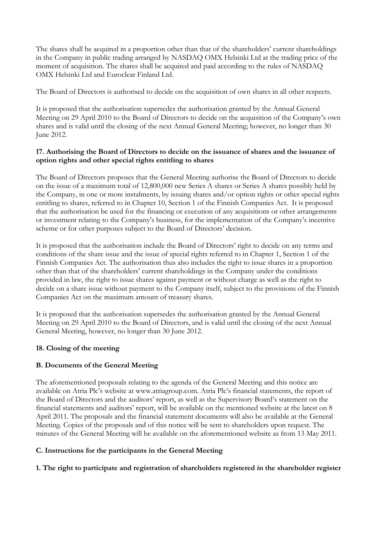The shares shall be acquired in a proportion other than that of the shareholders' current shareholdings in the Company in public trading arranged by NASDAQ OMX Helsinki Ltd at the trading price of the moment of acquisition. The shares shall be acquired and paid according to the rules of NASDAQ OMX Helsinki Ltd and Euroclear Finland Ltd.

The Board of Directors is authorised to decide on the acquisition of own shares in all other respects.

It is proposed that the authorisation supersedes the authorisation granted by the Annual General Meeting on 29 April 2010 to the Board of Directors to decide on the acquisition of the Company's own shares and is valid until the closing of the next Annual General Meeting; however, no longer than 30 June 2012.

### **17. Authorising the Board of Directors to decide on the issuance of shares and the issuance of option rights and other special rights entitling to shares**

The Board of Directors proposes that the General Meeting authorise the Board of Directors to decide on the issue of a maximum total of 12,800,000 new Series A shares or Series A shares possibly held by the Company, in one or more instalments, by issuing shares and/or option rights or other special rights entitling to shares, referred to in Chapter 10, Section 1 of the Finnish Companies Act. It is proposed that the authorisation be used for the financing or execution of any acquisitions or other arrangements or investment relating to the Company's business, for the implementation of the Company's incentive scheme or for other purposes subject to the Board of Directors' decision.

It is proposed that the authorisation include the Board of Directors' right to decide on any terms and conditions of the share issue and the issue of special rights referred to in Chapter 1, Section 1 of the Finnish Companies Act. The authorisation thus also includes the right to issue shares in a proportion other than that of the shareholders' current shareholdings in the Company under the conditions provided in law, the right to issue shares against payment or without charge as well as the right to decide on a share issue without payment to the Company itself, subject to the provisions of the Finnish Companies Act on the maximum amount of treasury shares.

It is proposed that the authorisation supersedes the authorisation granted by the Annual General Meeting on 29 April 2010 to the Board of Directors, and is valid until the closing of the next Annual General Meeting, however, no longer than 30 June 2012.

## **18. Closing of the meeting**

## **B. Documents of the General Meeting**

The aforementioned proposals relating to the agenda of the General Meeting and this notice are available on Atria Plc's website at www.atriagroup.com. Atria Plc's financial statements, the report of the Board of Directors and the auditors' report, as well as the Supervisory Board's statement on the financial statements and auditors' report, will be available on the mentioned website at the latest on 8 April 2011. The proposals and the financial statement documents will also be available at the General Meeting. Copies of the proposals and of this notice will be sent to shareholders upon request. The minutes of the General Meeting will be available on the aforementioned website as from 13 May 2011.

## **C. Instructions for the participants in the General Meeting**

**1. The right to participate and registration of shareholders registered in the shareholder register**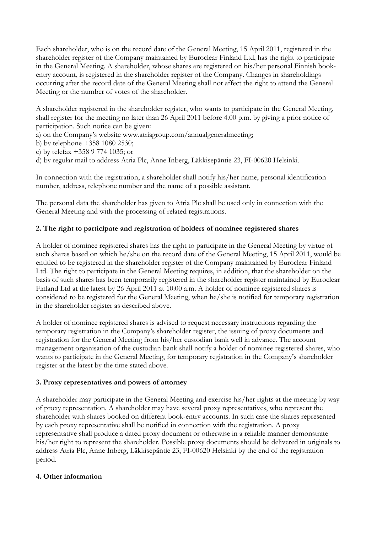Each shareholder, who is on the record date of the General Meeting, 15 April 2011, registered in the shareholder register of the Company maintained by Euroclear Finland Ltd, has the right to participate in the General Meeting. A shareholder, whose shares are registered on his/her personal Finnish bookentry account, is registered in the shareholder register of the Company. Changes in shareholdings occurring after the record date of the General Meeting shall not affect the right to attend the General Meeting or the number of votes of the shareholder.

A shareholder registered in the shareholder register, who wants to participate in the General Meeting, shall register for the meeting no later than 26 April 2011 before 4.00 p.m. by giving a prior notice of participation. Such notice can be given:

- a) on the Company's website www.atriagroup.com/annualgeneralmeeting;
- b) by telephone +358 1080 2530;
- c) by telefax +358 9 774 1035; or
- d) by regular mail to address Atria Plc, Anne Inberg, Läkkisepäntie 23, FI-00620 Helsinki.

In connection with the registration, a shareholder shall notify his/her name, personal identification number, address, telephone number and the name of a possible assistant.

The personal data the shareholder has given to Atria Plc shall be used only in connection with the General Meeting and with the processing of related registrations.

# **2. The right to participate and registration of holders of nominee registered shares**

A holder of nominee registered shares has the right to participate in the General Meeting by virtue of such shares based on which he/she on the record date of the General Meeting, 15 April 2011, would be entitled to be registered in the shareholder register of the Company maintained by Euroclear Finland Ltd. The right to participate in the General Meeting requires, in addition, that the shareholder on the basis of such shares has been temporarily registered in the shareholder register maintained by Euroclear Finland Ltd at the latest by 26 April 2011 at 10:00 a.m. A holder of nominee registered shares is considered to be registered for the General Meeting, when he/she is notified for temporary registration in the shareholder register as described above.

A holder of nominee registered shares is advised to request necessary instructions regarding the temporary registration in the Company's shareholder register, the issuing of proxy documents and registration for the General Meeting from his/her custodian bank well in advance. The account management organisation of the custodian bank shall notify a holder of nominee registered shares, who wants to participate in the General Meeting, for temporary registration in the Company's shareholder register at the latest by the time stated above.

## **3. Proxy representatives and powers of attorney**

A shareholder may participate in the General Meeting and exercise his/her rights at the meeting by way of proxy representation. A shareholder may have several proxy representatives, who represent the shareholder with shares booked on different book-entry accounts. In such case the shares represented by each proxy representative shall be notified in connection with the registration. A proxy representative shall produce a dated proxy document or otherwise in a reliable manner demonstrate his/her right to represent the shareholder. Possible proxy documents should be delivered in originals to address Atria Plc, Anne Inberg, Läkkisepäntie 23, FI-00620 Helsinki by the end of the registration period.

## **4. Other information**